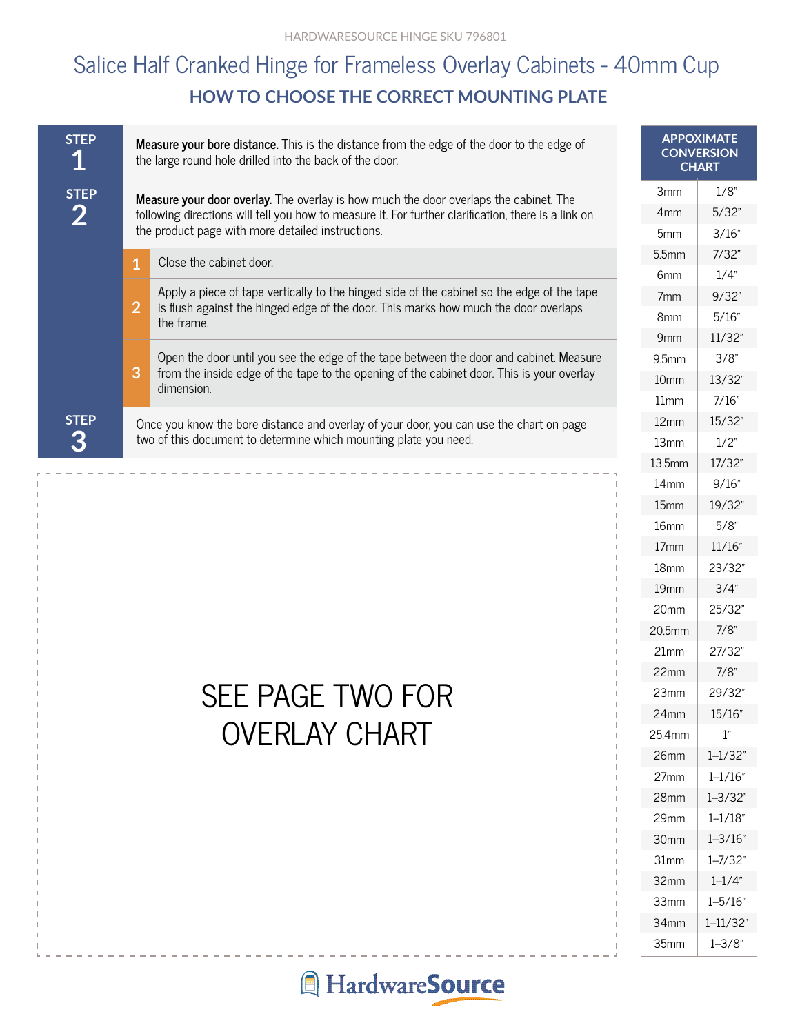## **HOW TO CHOOSE THE CORRECT MOUNTING PLATE** Salice Half Cranked Hinge for Frameless Overlay Cabinets - 40mm Cup

| <b>STEP</b><br>1 | <b>Measure your bore distance.</b> This is the distance from the edge of the door to the edge of<br>the large round hole drilled into the back of the door. | <b>APPOXIMATE</b><br><b>CONVERSION</b><br><b>CHART</b>                                                  |                  |        |  |
|------------------|-------------------------------------------------------------------------------------------------------------------------------------------------------------|---------------------------------------------------------------------------------------------------------|------------------|--------|--|
| <b>STEP</b>      | <b>Measure your door overlay.</b> The overlay is how much the door overlaps the cabinet. The                                                                | 3 <sub>mm</sub>                                                                                         | $1/8$ "          |        |  |
| $\mathbf{2}$     | following directions will tell you how to measure it. For further clarification, there is a link on                                                         | 4 <sub>mm</sub>                                                                                         | 5/32"            |        |  |
|                  | the product page with more detailed instructions.                                                                                                           | 5 <sub>mm</sub>                                                                                         | 3/16"            |        |  |
|                  | Close the cabinet door.<br>1                                                                                                                                |                                                                                                         |                  | 7/32"  |  |
|                  |                                                                                                                                                             |                                                                                                         | 6 <sub>mm</sub>  | 1/4"   |  |
|                  |                                                                                                                                                             | Apply a piece of tape vertically to the hinged side of the cabinet so the edge of the tape              | 7 <sub>mm</sub>  | 9/32"  |  |
|                  | $\overline{2}$                                                                                                                                              | is flush against the hinged edge of the door. This marks how much the door overlaps<br>the frame.       | 8 <sub>mm</sub>  | 5/16"  |  |
|                  |                                                                                                                                                             |                                                                                                         | 9 <sub>mm</sub>  | 11/32" |  |
|                  | 3                                                                                                                                                           | Open the door until you see the edge of the tape between the door and cabinet. Measure                  | 9.5mm            | 3/8"   |  |
|                  |                                                                                                                                                             | from the inside edge of the tape to the opening of the cabinet door. This is your overlay<br>dimension. | 10 <sub>mm</sub> | 13/32" |  |
|                  |                                                                                                                                                             |                                                                                                         | 11mm             | 7/16"  |  |
| <b>STEP</b>      | Once you know the bore distance and overlay of your door, you can use the chart on page                                                                     | 12mm                                                                                                    | 15/32"           |        |  |
| 3                | two of this document to determine which mounting plate you need.                                                                                            | 13mm                                                                                                    | 1/2"             |        |  |
|                  |                                                                                                                                                             |                                                                                                         | 13.5mm           | 17/32" |  |
|                  |                                                                                                                                                             |                                                                                                         |                  |        |  |

## SEE PAGE TWO FOR OVERLAY CHART

| 3mm               | 1/8"         |
|-------------------|--------------|
| 4 <sub>mm</sub>   | 5/32"        |
| 5mm               | 3/16"        |
| 5.5 <sub>mm</sub> | 7/32"        |
| 6 <sub>mm</sub>   | 1/4"         |
| 7 <sub>mm</sub>   | 9/32"        |
| 8mm               | 5/16"        |
| 9mm               | 11/32"       |
| $9.5$ mm          | 3/8"         |
| 10 <sub>mm</sub>  | 13/32"       |
| 11mm              | 7/16"        |
| 12mm              | 15/32"       |
| 13mm              | 1/2"         |
| 13.5mm            | 17/32"       |
| 14mm              | 9/16"        |
| 15mm              | 19/32"       |
| 16mm              | $5/8$ "      |
| 17 <sub>mm</sub>  | 11/16"       |
| 18mm              | 23/32"       |
| 19mm              | 3/4"         |
| 20mm              | 25/32"       |
| 20.5mm            | 7/8"         |
| 21mm              | 27/32"       |
| 22mm              | 7/8"         |
| 23mm              | 29/32"       |
| 24mm              | 15/16"       |
| 25.4mm            | 1"           |
| 26 <sub>mm</sub>  | $1 - 1/32"$  |
| 27mm              | $1 - 1/16$ " |
| 28mm              | $1 - 3/32"$  |
| 29mm              | $1 - 1/18$ " |
| 30mm              | $1 - 3/16$ " |
| 31mm              | $1 - 7/32"$  |
| 32mm              | $1 - 1/4"$   |
| 33mm              | $1 - 5/16$ " |
| 34mm              | $1 - 11/32"$ |
| 35mm              | $1 - 3/8"$   |

## **A** HardwareSource